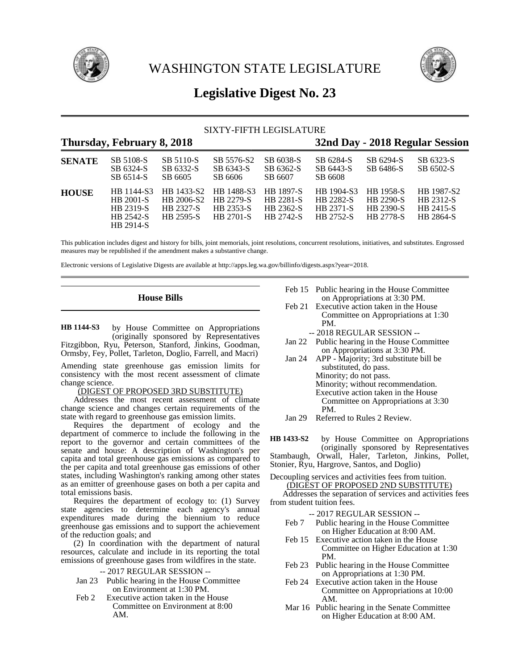



# **Legislative Digest No. 23**

# SIXTY-FIFTH LEGISLATURE

# **Thursday, February 8, 2018 32nd Day - 2018 Regular Session**

| <b>SENATE</b> | SB 5108-S<br>SB 6324-S<br>SB 6514-S                            | SB 5110-S<br>SB 6332-S<br>SB 6605                  | SB 5576-S2<br>SB 6343-S<br>SB 6606                              | SB 6038-S<br>SB 6362-S<br>SB 6607                              | SB 6284-S<br>SB 6443-S<br>SB 6608                               | SB 6294-S<br>SB 6486-S                                                       | SB 6323-S<br>SB 6502-S                            |
|---------------|----------------------------------------------------------------|----------------------------------------------------|-----------------------------------------------------------------|----------------------------------------------------------------|-----------------------------------------------------------------|------------------------------------------------------------------------------|---------------------------------------------------|
| <b>HOUSE</b>  | HB 1144-S3<br>HB 2001-S<br>HB 2319-S<br>HB 2542-S<br>HB 2914-S | HB 1433-S2<br>HB 2006-S2<br>HB 2327-S<br>HR 2595-S | HR 1488-S3<br><b>HB 2279-S</b><br>HB 2353-S<br><b>HR 2701-S</b> | HB 1897-S<br><b>HB</b> 2281-S<br>HB 2362-S<br><b>HB 2742-S</b> | HB 1904-S3<br><b>HB 2282-S</b><br><b>HB 2371-S</b><br>HB 2752-S | <b>HR</b> 1958-S<br><b>HB</b> 2290-S<br><b>HB 2390-S</b><br><b>HB 2778-S</b> | HB 1987-S2<br>HB 2312-S<br>HB 2415-S<br>HB 2864-S |

This publication includes digest and history for bills, joint memorials, joint resolutions, concurrent resolutions, initiatives, and substitutes. Engrossed measures may be republished if the amendment makes a substantive change.

Electronic versions of Legislative Digests are available at http://apps.leg.wa.gov/billinfo/digests.aspx?year=2018.

# **House Bills**

by House Committee on Appropriations (originally sponsored by Representatives Fitzgibbon, Ryu, Peterson, Stanford, Jinkins, Goodman, Ormsby, Fey, Pollet, Tarleton, Doglio, Farrell, and Macri) **HB 1144-S3**

Amending state greenhouse gas emission limits for consistency with the most recent assessment of climate change science.

# (DIGEST OF PROPOSED 3RD SUBSTITUTE)

Addresses the most recent assessment of climate change science and changes certain requirements of the state with regard to greenhouse gas emission limits.

Requires the department of ecology and the department of commerce to include the following in the report to the governor and certain committees of the senate and house: A description of Washington's per capita and total greenhouse gas emissions as compared to the per capita and total greenhouse gas emissions of other states, including Washington's ranking among other states as an emitter of greenhouse gases on both a per capita and total emissions basis.

Requires the department of ecology to: (1) Survey state agencies to determine each agency's annual expenditures made during the biennium to reduce greenhouse gas emissions and to support the achievement of the reduction goals; and

(2) In coordination with the department of natural resources, calculate and include in its reporting the total emissions of greenhouse gases from wildfires in the state.

-- 2017 REGULAR SESSION --

- Jan 23 Public hearing in the House Committee on Environment at 1:30 PM.
- Feb 2 Executive action taken in the House Committee on Environment at 8:00 AM.
- Feb 15 Public hearing in the House Committee on Appropriations at 3:30 PM.
- Feb 21 Executive action taken in the House Committee on Appropriations at 1:30 PM.
	- -- 2018 REGULAR SESSION --
- Jan 22 Public hearing in the House Committee on Appropriations at 3:30 PM.
- Jan 24 APP Majority; 3rd substitute bill be substituted, do pass. Minority; do not pass. Minority; without recommendation. Executive action taken in the House Committee on Appropriations at 3:30 PM.
- Jan 29 Referred to Rules 2 Review.

by House Committee on Appropriations (originally sponsored by Representatives Stambaugh, Orwall, Haler, Tarleton, Jinkins, Pollet, Stonier, Ryu, Hargrove, Santos, and Doglio) **HB 1433-S2**

Decoupling services and activities fees from tuition. (DIGEST OF PROPOSED 2ND SUBSTITUTE)

Addresses the separation of services and activities fees from student tuition fees.

- -- 2017 REGULAR SESSION --
- Feb 7 Public hearing in the House Committee on Higher Education at 8:00 AM.
- Feb 15 Executive action taken in the House Committee on Higher Education at 1:30 PM.
- Feb 23 Public hearing in the House Committee on Appropriations at 1:30 PM.
- Feb 24 Executive action taken in the House Committee on Appropriations at 10:00 AM.
- Mar 16 Public hearing in the Senate Committee on Higher Education at 8:00 AM.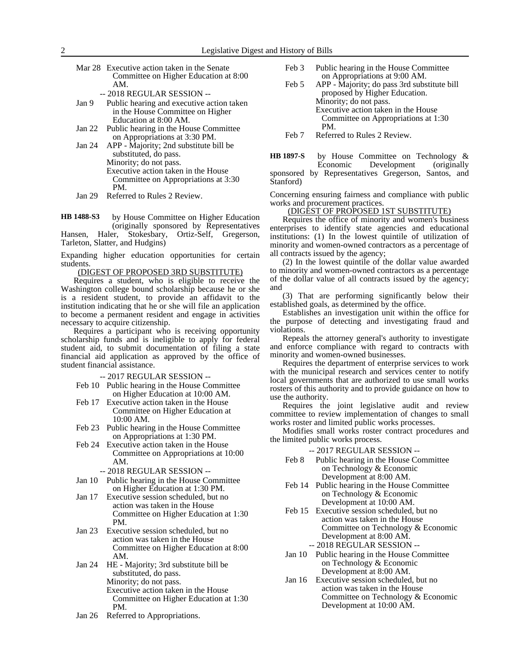Mar 28 Executive action taken in the Senate Committee on Higher Education at 8:00 AM.

-- 2018 REGULAR SESSION --

- Jan 9 Public hearing and executive action taken in the House Committee on Higher Education at 8:00 AM.
- Jan 22 Public hearing in the House Committee on Appropriations at 3:30 PM.
- Jan 24 APP Majority; 2nd substitute bill be substituted, do pass. Minority; do not pass.
	- Executive action taken in the House Committee on Appropriations at 3:30 PM.
- Jan 29 Referred to Rules 2 Review.

by House Committee on Higher Education (originally sponsored by Representatives Hansen, Haler, Stokesbary, Ortiz-Self, Gregerson, **HB 1488-S3**

Tarleton, Slatter, and Hudgins)

Expanding higher education opportunities for certain students.

(DIGEST OF PROPOSED 3RD SUBSTITUTE)

Requires a student, who is eligible to receive the Washington college bound scholarship because he or she is a resident student, to provide an affidavit to the institution indicating that he or she will file an application to become a permanent resident and engage in activities necessary to acquire citizenship.

Requires a participant who is receiving opportunity scholarship funds and is ineligible to apply for federal student aid, to submit documentation of filing a state financial aid application as approved by the office of student financial assistance.

-- 2017 REGULAR SESSION --

- Feb 10 Public hearing in the House Committee on Higher Education at 10:00 AM.
- Feb 17 Executive action taken in the House Committee on Higher Education at 10:00 AM.
- Feb 23 Public hearing in the House Committee on Appropriations at 1:30 PM.
- Feb 24 Executive action taken in the House Committee on Appropriations at 10:00 AM.
	- -- 2018 REGULAR SESSION --
- Jan 10 Public hearing in the House Committee on Higher Education at 1:30 PM.
- Jan 17 Executive session scheduled, but no action was taken in the House Committee on Higher Education at 1:30 PM.
- Jan 23 Executive session scheduled, but no action was taken in the House Committee on Higher Education at 8:00 AM.
- Jan 24 HE Majority; 3rd substitute bill be substituted, do pass. Minority; do not pass. Executive action taken in the House Committee on Higher Education at 1:30 PM.
- Jan 26 Referred to Appropriations.
- Feb 3 Public hearing in the House Committee on Appropriations at 9:00 AM.
- Feb 5 APP Majority; do pass 3rd substitute bill proposed by Higher Education. Minority; do not pass. Executive action taken in the House Committee on Appropriations at 1:30 PM.
- Feb 7 Referred to Rules 2 Review.
- by House Committee on Technology & Economic Development (originally sponsored by Representatives Gregerson, Santos, and Stanford) **HB 1897-S**

Concerning ensuring fairness and compliance with public works and procurement practices.

### (DIGEST OF PROPOSED 1ST SUBSTITUTE)

Requires the office of minority and women's business enterprises to identify state agencies and educational institutions: (1) In the lowest quintile of utilization of minority and women-owned contractors as a percentage of all contracts issued by the agency;

(2) In the lowest quintile of the dollar value awarded to minority and women-owned contractors as a percentage of the dollar value of all contracts issued by the agency; and

(3) That are performing significantly below their established goals, as determined by the office.

Establishes an investigation unit within the office for the purpose of detecting and investigating fraud and violations.

Repeals the attorney general's authority to investigate and enforce compliance with regard to contracts with minority and women-owned businesses.

Requires the department of enterprise services to work with the municipal research and services center to notify local governments that are authorized to use small works rosters of this authority and to provide guidance on how to use the authority.

Requires the joint legislative audit and review committee to review implementation of changes to small works roster and limited public works processes.

Modifies small works roster contract procedures and the limited public works process.

- Feb 8 Public hearing in the House Committee on Technology & Economic Development at 8:00 AM.
- Feb 14 Public hearing in the House Committee on Technology & Economic Development at 10:00 AM.
- Feb 15 Executive session scheduled, but no action was taken in the House Committee on Technology & Economic Development at 8:00 AM. -- 2018 REGULAR SESSION --
- Jan 10 Public hearing in the House Committee on Technology & Economic Development at 8:00 AM.
- Jan 16 Executive session scheduled, but no action was taken in the House Committee on Technology & Economic Development at 10:00 AM.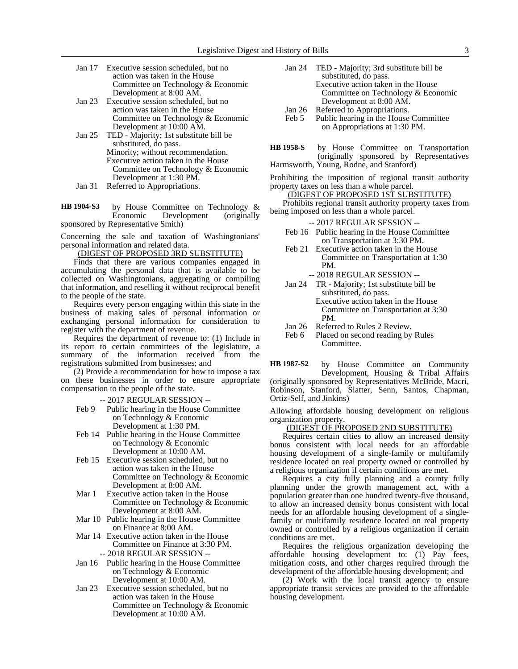- Jan 17 Executive session scheduled, but no action was taken in the House Committee on Technology & Economic Development at 8:00 AM.
- Jan 23 Executive session scheduled, but no action was taken in the House Committee on Technology & Economic Development at 10:00 AM.
- Jan 25 TED Majority; 1st substitute bill be substituted, do pass. Minority; without recommendation. Executive action taken in the House Committee on Technology & Economic Development at 1:30 PM. Jan 31 Referred to Appropriations.
- by House Committee on Technology & Economic Development (originally sponsored by Representative Smith) **HB 1904-S3**

Concerning the sale and taxation of Washingtonians' personal information and related data.

(DIGEST OF PROPOSED 3RD SUBSTITUTE)

Finds that there are various companies engaged in accumulating the personal data that is available to be collected on Washingtonians, aggregating or compiling that information, and reselling it without reciprocal benefit to the people of the state.

Requires every person engaging within this state in the business of making sales of personal information or exchanging personal information for consideration to register with the department of revenue.

Requires the department of revenue to: (1) Include in its report to certain committees of the legislature, a summary of the information received from the registrations submitted from businesses; and

(2) Provide a recommendation for how to impose a tax on these businesses in order to ensure appropriate compensation to the people of the state.

- -- 2017 REGULAR SESSION --
- Feb 9 Public hearing in the House Committee on Technology & Economic Development at 1:30 PM.
- Feb 14 Public hearing in the House Committee on Technology & Economic Development at 10:00 AM.
- Feb 15 Executive session scheduled, but no action was taken in the House Committee on Technology & Economic Development at 8:00 AM.
- Mar 1 Executive action taken in the House Committee on Technology & Economic Development at 8:00 AM.
- Mar 10 Public hearing in the House Committee on Finance at 8:00 AM.
- Mar 14 Executive action taken in the House Committee on Finance at 3:30 PM. -- 2018 REGULAR SESSION --
- Jan 16 Public hearing in the House Committee on Technology & Economic Development at 10:00 AM.
- Jan 23 Executive session scheduled, but no action was taken in the House Committee on Technology & Economic Development at 10:00 AM.
- Jan 24 TED Majority; 3rd substitute bill be substituted, do pass. Executive action taken in the House Committee on Technology & Economic Development at 8:00 AM.
- Jan 26 Referred to Appropriations.
- Feb 5 Public hearing in the House Committee on Appropriations at 1:30 PM.
- by House Committee on Transportation (originally sponsored by Representatives Harmsworth, Young, Rodne, and Stanford) **HB 1958-S**
- 

Prohibiting the imposition of regional transit authority property taxes on less than a whole parcel.

# (DIGEST OF PROPOSED 1ST SUBSTITUTE)

Prohibits regional transit authority property taxes from being imposed on less than a whole parcel.

-- 2017 REGULAR SESSION --

- Feb 16 Public hearing in the House Committee on Transportation at 3:30 PM.
- Feb 21 Executive action taken in the House Committee on Transportation at 1:30 PM.

-- 2018 REGULAR SESSION --

- Jan 24 TR Majority; 1st substitute bill be substituted, do pass. Executive action taken in the House
	- Committee on Transportation at 3:30 PM.
- Jan 26 Referred to Rules 2 Review.<br>Feb 6 Placed on second reading by
- Placed on second reading by Rules Committee.

by House Committee on Community Development, Housing & Tribal Affairs (originally sponsored by Representatives McBride, Macri, Robinson, Stanford, Slatter, Senn, Santos, Chapman, Ortiz-Self, and Jinkins) **HB 1987-S2**

Allowing affordable housing development on religious organization property.

#### (DIGEST OF PROPOSED 2ND SUBSTITUTE)

Requires certain cities to allow an increased density bonus consistent with local needs for an affordable housing development of a single-family or multifamily residence located on real property owned or controlled by a religious organization if certain conditions are met.

Requires a city fully planning and a county fully planning under the growth management act, with a population greater than one hundred twenty-five thousand, to allow an increased density bonus consistent with local needs for an affordable housing development of a singlefamily or multifamily residence located on real property owned or controlled by a religious organization if certain conditions are met.

Requires the religious organization developing the affordable housing development to: (1) Pay fees, mitigation costs, and other charges required through the development of the affordable housing development; and

(2) Work with the local transit agency to ensure appropriate transit services are provided to the affordable housing development.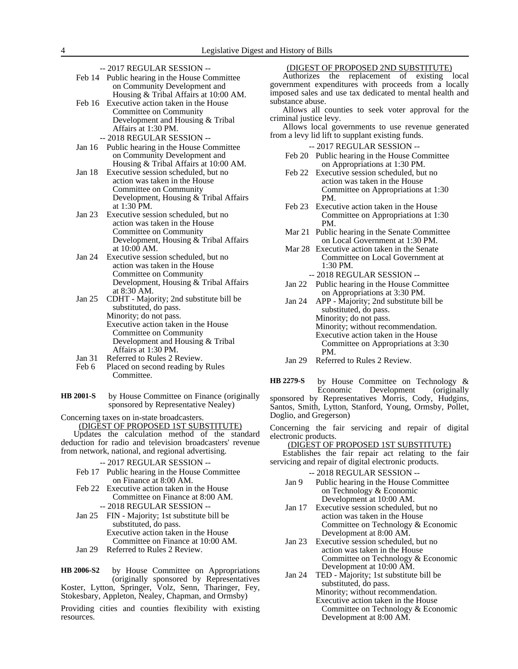- -- 2017 REGULAR SESSION --
- Feb 14 Public hearing in the House Committee on Community Development and Housing & Tribal Affairs at 10:00 AM.
- Feb 16 Executive action taken in the House Committee on Community Development and Housing & Tribal Affairs at 1:30 PM.
	- -- 2018 REGULAR SESSION --
- Jan 16 Public hearing in the House Committee on Community Development and Housing & Tribal Affairs at 10:00 AM.
- Jan 18 Executive session scheduled, but no action was taken in the House Committee on Community Development, Housing & Tribal Affairs at 1:30 PM.
- Jan 23 Executive session scheduled, but no action was taken in the House Committee on Community Development, Housing & Tribal Affairs at 10:00 AM.
- Jan 24 Executive session scheduled, but no action was taken in the House Committee on Community Development, Housing & Tribal Affairs at 8:30 AM.
- Jan 25 CDHT Majority; 2nd substitute bill be substituted, do pass. Minority; do not pass. Executive action taken in the House Committee on Community Development and Housing & Tribal Affairs at 1:30 PM.
- Jan 31 Referred to Rules 2 Review.<br>Feb 6 Placed on second reading by
- Placed on second reading by Rules Committee.
- by House Committee on Finance (originally sponsored by Representative Nealey) **HB 2001-S**

Concerning taxes on in-state broadcasters.

(DIGEST OF PROPOSED 1ST SUBSTITUTE) Updates the calculation method of the standard

deduction for radio and television broadcasters' revenue from network, national, and regional advertising.

#### -- 2017 REGULAR SESSION --

- Feb 17 Public hearing in the House Committee on Finance at 8:00 AM.
- Feb 22 Executive action taken in the House Committee on Finance at 8:00 AM. -- 2018 REGULAR SESSION --
- Jan 25 FIN Majority; 1st substitute bill be substituted, do pass. Executive action taken in the House Committee on Finance at 10:00 AM.
- Jan 29 Referred to Rules 2 Review.

by House Committee on Appropriations (originally sponsored by Representatives Koster, Lytton, Springer, Volz, Senn, Tharinger, Fey, Stokesbary, Appleton, Nealey, Chapman, and Ormsby) **HB 2006-S2**

Providing cities and counties flexibility with existing resources.

# (DIGEST OF PROPOSED 2ND SUBSTITUTE)

Authorizes the replacement of existing local government expenditures with proceeds from a locally imposed sales and use tax dedicated to mental health and substance abuse.

Allows all counties to seek voter approval for the criminal justice levy.

Allows local governments to use revenue generated from a levy lid lift to supplant existing funds.

-- 2017 REGULAR SESSION --

- Feb 20 Public hearing in the House Committee on Appropriations at 1:30 PM.
- Feb 22 Executive session scheduled, but no action was taken in the House Committee on Appropriations at 1:30 PM.
- Feb 23 Executive action taken in the House Committee on Appropriations at 1:30 PM.
- Mar 21 Public hearing in the Senate Committee on Local Government at 1:30 PM.
- Mar 28 Executive action taken in the Senate Committee on Local Government at 1:30 PM.
	- -- 2018 REGULAR SESSION --
- Jan 22 Public hearing in the House Committee on Appropriations at 3:30 PM.

Jan 24 APP - Majority; 2nd substitute bill be substituted, do pass. Minority; do not pass. Minority; without recommendation. Executive action taken in the House Committee on Appropriations at 3:30 PM.

Jan 29 Referred to Rules 2 Review.

by House Committee on Technology &<br>Economic Development (originally Development (originally sponsored by Representatives Morris, Cody, Hudgins, Santos, Smith, Lytton, Stanford, Young, Ormsby, Pollet, Doglio, and Gregerson) **HB 2279-S**

Concerning the fair servicing and repair of digital electronic products.

#### (DIGEST OF PROPOSED 1ST SUBSTITUTE)

Establishes the fair repair act relating to the fair servicing and repair of digital electronic products.

- Jan 9 Public hearing in the House Committee on Technology & Economic Development at 10:00 AM.
- Jan 17 Executive session scheduled, but no action was taken in the House Committee on Technology & Economic Development at 8:00 AM.
- Jan 23 Executive session scheduled, but no action was taken in the House Committee on Technology & Economic Development at 10:00 AM.
- Jan 24 TED Majority; 1st substitute bill be substituted, do pass. Minority; without recommendation. Executive action taken in the House Committee on Technology & Economic Development at 8:00 AM.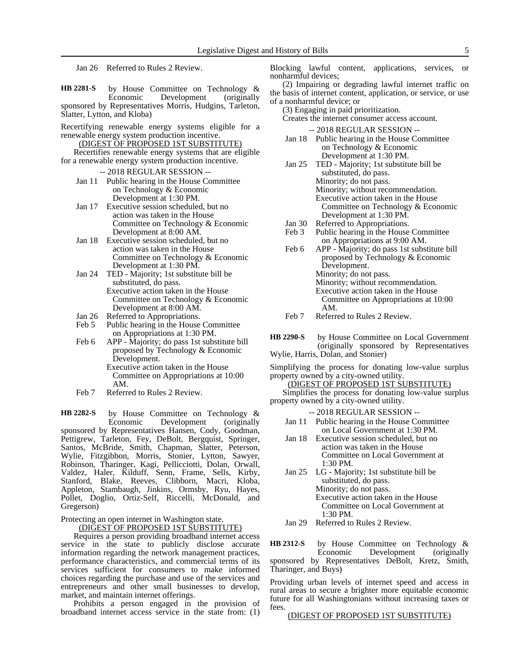Jan 26 Referred to Rules 2 Review.

by House Committee on Technology &<br>Economic Development (originally Economic Development sponsored by Representatives Morris, Hudgins, Tarleton, Slatter, Lytton, and Kloba) **HB 2281-S**

Recertifying renewable energy systems eligible for a renewable energy system production incentive.

(DIGEST OF PROPOSED 1ST SUBSTITUTE) Recertifies renewable energy systems that are eligible

for a renewable energy system production incentive.

- -- 2018 REGULAR SESSION --
- Jan 11 Public hearing in the House Committee on Technology & Economic Development at 1:30 PM.
- Jan 17 Executive session scheduled, but no action was taken in the House Committee on Technology & Economic Development at 8:00 AM.
- Jan 18 Executive session scheduled, but no action was taken in the House Committee on Technology & Economic Development at 1:30 PM.
- Jan 24 TED Majority; 1st substitute bill be substituted, do pass. Executive action taken in the House Committee on Technology & Economic Development at 8:00 AM.
- Jan 26 Referred to Appropriations.
- Feb 5 Public hearing in the House Committee on Appropriations at 1:30 PM.
- Feb 6 APP Majority; do pass 1st substitute bill proposed by Technology & Economic Development.
	- Executive action taken in the House Committee on Appropriations at 10:00 AM.
- Feb 7 Referred to Rules 2 Review.

by House Committee on Technology &<br>Economic Development (originally Development (originally sponsored by Representatives Hansen, Cody, Goodman, Pettigrew, Tarleton, Fey, DeBolt, Bergquist, Springer, Santos, McBride, Smith, Chapman, Slatter, Peterson, Wylie, Fitzgibbon, Morris, Stonier, Lytton, Sawyer, Robinson, Tharinger, Kagi, Pellicciotti, Dolan, Orwall, Valdez, Haler, Kilduff, Senn, Frame, Sells, Kirby, Stanford, Blake, Reeves, Clibborn, Macri, Kloba, Appleton, Stambaugh, Jinkins, Ormsby, Ryu, Hayes, Pollet, Doglio, Ortiz-Self, Riccelli, McDonald, and Gregerson) **HB 2282-S**

Protecting an open internet in Washington state.

(DIGEST OF PROPOSED 1ST SUBSTITUTE)

Requires a person providing broadband internet access service in the state to publicly disclose accurate information regarding the network management practices, performance characteristics, and commercial terms of its services sufficient for consumers to make informed choices regarding the purchase and use of the services and entrepreneurs and other small businesses to develop, market, and maintain internet offerings.

Prohibits a person engaged in the provision of broadband internet access service in the state from: (1) Blocking lawful content, applications, services, or nonharmful devices;

(2) Impairing or degrading lawful internet traffic on the basis of internet content, application, or service, or use of a nonharmful device; or

(3) Engaging in paid prioritization.

Creates the internet consumer access account.

-- 2018 REGULAR SESSION --

- Jan 18 Public hearing in the House Committee on Technology & Economic Development at 1:30 PM.
- Jan 25 TED Majority; 1st substitute bill be substituted, do pass. Minority; do not pass. Minority; without recommendation. Executive action taken in the House Committee on Technology & Economic Development at 1:30 PM.
- Jan 30 Referred to Appropriations.<br>Feb 3 Public hearing in the House
- Public hearing in the House Committee on Appropriations at 9:00 AM.
- Feb 6 APP Majority; do pass 1st substitute bill proposed by Technology & Economic Development. Minority; do not pass. Minority; without recommendation. Executive action taken in the House Committee on Appropriations at 10:00 AM.
- Feb 7 Referred to Rules 2 Review.
- by House Committee on Local Government (originally sponsored by Representatives Wylie, Harris, Dolan, and Stonier) **HB 2290-S**

Simplifying the process for donating low-value surplus property owned by a city-owned utility.

(DIGEST OF PROPOSED 1ST SUBSTITUTE)

Simplifies the process for donating low-value surplus property owned by a city-owned utility.

-- 2018 REGULAR SESSION --

- Jan 11 Public hearing in the House Committee on Local Government at 1:30 PM.
- Jan 18 Executive session scheduled, but no action was taken in the House Committee on Local Government at 1:30 PM.
- Jan 25 LG Majority; 1st substitute bill be substituted, do pass. Minority; do not pass. Executive action taken in the House Committee on Local Government at 1:30 PM.

Jan 29 Referred to Rules 2 Review.

by House Committee on Technology & Economic Development (originally sponsored by Representatives DeBolt, Kretz, Smith, Tharinger, and Buys) **HB 2312-S**

Providing urban levels of internet speed and access in rural areas to secure a brighter more equitable economic future for all Washingtonians without increasing taxes or fees.

### (DIGEST OF PROPOSED 1ST SUBSTITUTE)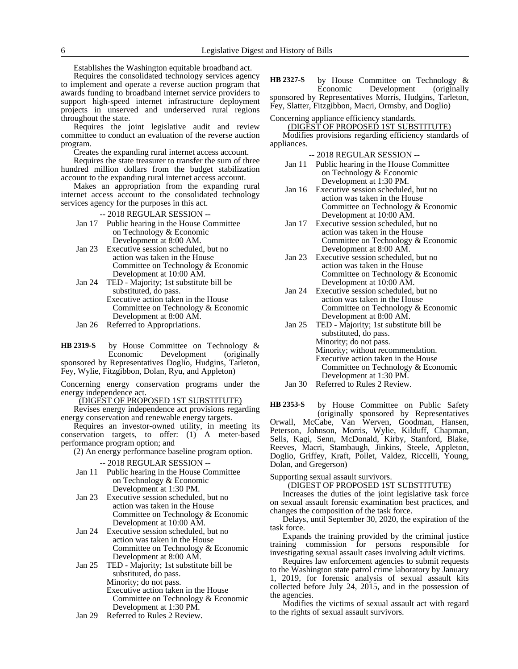Establishes the Washington equitable broadband act.

Requires the consolidated technology services agency to implement and operate a reverse auction program that awards funding to broadband internet service providers to support high-speed internet infrastructure deployment projects in unserved and underserved rural regions throughout the state.

Requires the joint legislative audit and review committee to conduct an evaluation of the reverse auction program.

Creates the expanding rural internet access account.

Requires the state treasurer to transfer the sum of three hundred million dollars from the budget stabilization account to the expanding rural internet access account.

Makes an appropriation from the expanding rural internet access account to the consolidated technology services agency for the purposes in this act.

-- 2018 REGULAR SESSION --

- Jan 17 Public hearing in the House Committee on Technology & Economic Development at 8:00 AM.
- Jan 23 Executive session scheduled, but no action was taken in the House Committee on Technology & Economic Development at 10:00 AM.
- Jan 24 TED Majority; 1st substitute bill be substituted, do pass. Executive action taken in the House Committee on Technology & Economic Development at 8:00 AM.
- Jan 26 Referred to Appropriations.

by House Committee on Technology & Economic Development (originally sponsored by Representatives Doglio, Hudgins, Tarleton, Fey, Wylie, Fitzgibbon, Dolan, Ryu, and Appleton) **HB 2319-S**

Concerning energy conservation programs under the energy independence act.

(DIGEST OF PROPOSED 1ST SUBSTITUTE)

Revises energy independence act provisions regarding energy conservation and renewable energy targets.

Requires an investor-owned utility, in meeting its conservation targets, to offer: (1) A meter-based performance program option; and

(2) An energy performance baseline program option.

- -- 2018 REGULAR SESSION --
- Jan 11 Public hearing in the House Committee on Technology & Economic Development at 1:30 PM.
- Jan 23 Executive session scheduled, but no action was taken in the House Committee on Technology & Economic Development at 10:00 AM.
- Jan 24 Executive session scheduled, but no action was taken in the House Committee on Technology & Economic Development at 8:00 AM.
- Jan 25 TED Majority; 1st substitute bill be substituted, do pass. Minority; do not pass. Executive action taken in the House Committee on Technology & Economic

Development at 1:30 PM.

Jan 29 Referred to Rules 2 Review.

by House Committee on Technology & Economic Development (originally sponsored by Representatives Morris, Hudgins, Tarleton, Fey, Slatter, Fitzgibbon, Macri, Ormsby, and Doglio) **HB 2327-S**

Concerning appliance efficiency standards.

(DIGEST OF PROPOSED 1ST SUBSTITUTE) Modifies provisions regarding efficiency standards of

appliances.

- -- 2018 REGULAR SESSION -- Jan 11 Public hearing in the House Committee
	- on Technology & Economic Development at 1:30 PM.
- Jan 16 Executive session scheduled, but no action was taken in the House Committee on Technology & Economic Development at 10:00 AM.
- Jan 17 Executive session scheduled, but no action was taken in the House Committee on Technology & Economic Development at 8:00 AM.
- Jan 23 Executive session scheduled, but no action was taken in the House Committee on Technology & Economic Development at 10:00 AM.
- Jan 24 Executive session scheduled, but no action was taken in the House Committee on Technology & Economic Development at 8:00 AM.
- Jan 25 TED Majority; 1st substitute bill be substituted, do pass. Minority; do not pass. Minority; without recommendation. Executive action taken in the House Committee on Technology & Economic Development at 1:30 PM. Jan 30 Referred to Rules 2 Review.

by House Committee on Public Safety (originally sponsored by Representatives Orwall, McCabe, Van Werven, Goodman, Hansen, Peterson, Johnson, Morris, Wylie, Kilduff, Chapman, Sells, Kagi, Senn, McDonald, Kirby, Stanford, Blake, Reeves, Macri, Stambaugh, Jinkins, Steele, Appleton, Doglio, Griffey, Kraft, Pollet, Valdez, Riccelli, Young, Dolan, and Gregerson) **HB 2353-S**

Supporting sexual assault survivors.

(DIGEST OF PROPOSED 1ST SUBSTITUTE)

Increases the duties of the joint legislative task force on sexual assault forensic examination best practices, and changes the composition of the task force.

Delays, until September 30, 2020, the expiration of the task force.

Expands the training provided by the criminal justice training commission for persons responsible for investigating sexual assault cases involving adult victims.

Requires law enforcement agencies to submit requests to the Washington state patrol crime laboratory by January 1, 2019, for forensic analysis of sexual assault kits collected before July 24, 2015, and in the possession of the agencies.

Modifies the victims of sexual assault act with regard to the rights of sexual assault survivors.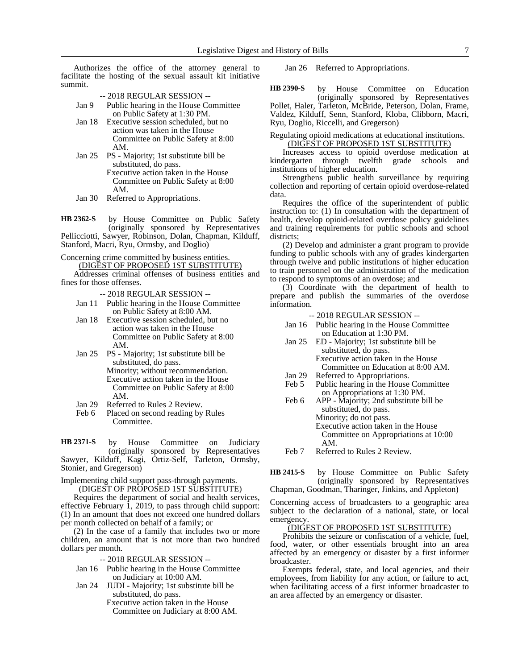Authorizes the office of the attorney general to facilitate the hosting of the sexual assault kit initiative summit.

|       | $-2018$ REGULAR SESSION $-$           |
|-------|---------------------------------------|
| Jan 9 | Public hearing in the House Committee |
|       | on Public Safety at 1:30 PM.          |

- Jan 18 Executive session scheduled, but no action was taken in the House Committee on Public Safety at 8:00 AM.
- Jan 25 PS Majority; 1st substitute bill be substituted, do pass. Executive action taken in the House Committee on Public Safety at 8:00 AM.
- Jan 30 Referred to Appropriations.

by House Committee on Public Safety (originally sponsored by Representatives Pellicciotti, Sawyer, Robinson, Dolan, Chapman, Kilduff, Stanford, Macri, Ryu, Ormsby, and Doglio) **HB 2362-S**

Concerning crime committed by business entities. (DIGEST OF PROPOSED 1ST SUBSTITUTE)

Addresses criminal offenses of business entities and fines for those offenses.

-- 2018 REGULAR SESSION --

- Jan 11 Public hearing in the House Committee on Public Safety at 8:00 AM.
- Jan 18 Executive session scheduled, but no action was taken in the House Committee on Public Safety at 8:00 AM.
- Jan 25 PS Majority; 1st substitute bill be substituted, do pass. Minority; without recommendation. Executive action taken in the House Committee on Public Safety at 8:00
- AM.
- Jan 29 Referred to Rules 2 Review.<br>Feb 6 Placed on second reading by Placed on second reading by Rules Committee.

by House Committee on Judiciary (originally sponsored by Representatives **HB 2371-S**

Sawyer, Kilduff, Kagi, Örtiz-Self, Tarleton, Ormsby, Stonier, and Gregerson)

#### Implementing child support pass-through payments. (DIGEST OF PROPOSED 1ST SUBSTITUTE)

Requires the department of social and health services, effective February 1, 2019, to pass through child support: (1) In an amount that does not exceed one hundred dollars per month collected on behalf of a family; or

(2) In the case of a family that includes two or more children, an amount that is not more than two hundred dollars per month.

-- 2018 REGULAR SESSION --

- Jan 16 Public hearing in the House Committee on Judiciary at 10:00 AM.
- Jan 24 JUDI Majority; 1st substitute bill be substituted, do pass.
	- Executive action taken in the House Committee on Judiciary at 8:00 AM.

Jan 26 Referred to Appropriations.

by House Committee on Education (originally sponsored by Representatives Pollet, Haler, Tarleton, McBride, Peterson, Dolan, Frame, Valdez, Kilduff, Senn, Stanford, Kloba, Clibborn, Macri, Ryu, Doglio, Riccelli, and Gregerson) **HB 2390-S**

Regulating opioid medications at educational institutions. (DIGEST OF PROPOSED 1ST SUBSTITUTE)

Increases access to opioid overdose medication at kindergarten through twelfth grade schools and institutions of higher education.

Strengthens public health surveillance by requiring collection and reporting of certain opioid overdose-related data.

Requires the office of the superintendent of public instruction to: (1) In consultation with the department of health, develop opioid-related overdose policy guidelines and training requirements for public schools and school districts;

(2) Develop and administer a grant program to provide funding to public schools with any of grades kindergarten through twelve and public institutions of higher education to train personnel on the administration of the medication to respond to symptoms of an overdose; and

(3) Coordinate with the department of health to prepare and publish the summaries of the overdose information.

- -- 2018 REGULAR SESSION --
- Jan 16 Public hearing in the House Committee on Education at 1:30 PM.
- Jan 25 ED Majority; 1st substitute bill be substituted, do pass. Executive action taken in the House Committee on Education at 8:00 AM.
- Jan 29 Referred to Appropriations.<br>Feb 5 Public hearing in the House
- Public hearing in the House Committee on Appropriations at 1:30 PM.
- Feb 6 APP Majority; 2nd substitute bill be substituted, do pass. Minority; do not pass. Executive action taken in the House Committee on Appropriations at 10:00 AM.
- Feb 7 Referred to Rules 2 Review.

by House Committee on Public Safety (originally sponsored by Representatives Chapman, Goodman, Tharinger, Jinkins, and Appleton) **HB 2415-S**

Concerning access of broadcasters to a geographic area subject to the declaration of a national, state, or local emergency.

#### (DIGEST OF PROPOSED 1ST SUBSTITUTE)

Prohibits the seizure or confiscation of a vehicle, fuel, food, water, or other essentials brought into an area affected by an emergency or disaster by a first informer broadcaster.

Exempts federal, state, and local agencies, and their employees, from liability for any action, or failure to act, when facilitating access of a first informer broadcaster to an area affected by an emergency or disaster.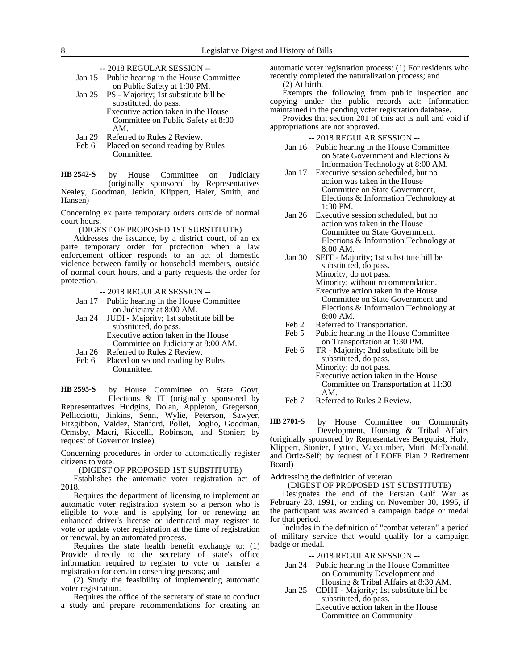-- 2018 REGULAR SESSION --

| Jan 15 | Public hearing in the House Committee |
|--------|---------------------------------------|
|        | on Public Safety at 1:30 PM.          |

Jan 25 PS - Majority; 1st substitute bill be substituted, do pass. Executive action taken in the House Committee on Public Safety at 8:00 AM.

- Jan 29 Referred to Rules 2 Review.<br>Feb 6 Placed on second reading by
- Placed on second reading by Rules Committee.

by House Committee on Judiciary (originally sponsored by Representatives Nealey, Goodman, Jenkin, Klippert, Haler, Smith, and Hansen) **HB 2542-S**

Concerning ex parte temporary orders outside of normal court hours.

(DIGEST OF PROPOSED 1ST SUBSTITUTE)

Addresses the issuance, by a district court, of an ex parte temporary order for protection when a law enforcement officer responds to an act of domestic violence between family or household members, outside of normal court hours, and a party requests the order for protection.

-- 2018 REGULAR SESSION --

- Jan 17 Public hearing in the House Committee on Judiciary at 8:00 AM.
- Jan 24 JUDI Majority; 1st substitute bill be substituted, do pass. Executive action taken in the House Committee on Judiciary at 8:00 AM.
- Jan 26 Referred to Rules 2 Review.
- Feb 6 Placed on second reading by Rules Committee.

by House Committee on State Govt, Elections & IT (originally sponsored by Representatives Hudgins, Dolan, Appleton, Gregerson, Pellicciotti, Jinkins, Senn, Wylie, Peterson, Sawyer, Fitzgibbon, Valdez, Stanford, Pollet, Doglio, Goodman, Ormsby, Macri, Riccelli, Robinson, and Stonier; by request of Governor Inslee) **HB 2595-S**

Concerning procedures in order to automatically register citizens to vote.

(DIGEST OF PROPOSED 1ST SUBSTITUTE)

Establishes the automatic voter registration act of 2018.

Requires the department of licensing to implement an automatic voter registration system so a person who is eligible to vote and is applying for or renewing an enhanced driver's license or identicard may register to vote or update voter registration at the time of registration or renewal, by an automated process.

Requires the state health benefit exchange to: (1) Provide directly to the secretary of state's office information required to register to vote or transfer a registration for certain consenting persons; and

(2) Study the feasibility of implementing automatic voter registration.

Requires the office of the secretary of state to conduct a study and prepare recommendations for creating an automatic voter registration process: (1) For residents who recently completed the naturalization process; and

(2) At birth.

Exempts the following from public inspection and copying under the public records act: Information maintained in the pending voter registration database.

Provides that section 201 of this act is null and void if appropriations are not approved.

-- 2018 REGULAR SESSION --

- Jan 16 Public hearing in the House Committee on State Government and Elections & Information Technology at 8:00 AM.
- Jan 17 Executive session scheduled, but no action was taken in the House Committee on State Government, Elections & Information Technology at 1:30 PM.
- Jan 26 Executive session scheduled, but no action was taken in the House Committee on State Government, Elections & Information Technology at 8:00 AM.
- Jan 30 SEIT Majority; 1st substitute bill be substituted, do pass. Minority; do not pass. Minority; without recommendation. Executive action taken in the House Committee on State Government and Elections & Information Technology at 8:00 AM.
- 
- Feb 2 Referred to Transportation.<br>Feb 5 Public hearing in the House Public hearing in the House Committee on Transportation at 1:30 PM.
- Feb 6 TR Majority; 2nd substitute bill be substituted, do pass. Minority; do not pass. Executive action taken in the House Committee on Transportation at 11:30 AM.
- Feb 7 Referred to Rules 2 Review.

by House Committee on Community Development, Housing & Tribal Affairs (originally sponsored by Representatives Bergquist, Holy, Klippert, Stonier, Lytton, Maycumber, Muri, McDonald, and Ortiz-Self; by request of LEOFF Plan 2 Retirement Board) **HB 2701-S**

Addressing the definition of veteran.

(DIGEST OF PROPOSED 1ST SUBSTITUTE)

Designates the end of the Persian Gulf War as February 28, 1991, or ending on November 30, 1995, if the participant was awarded a campaign badge or medal for that period.

Includes in the definition of "combat veteran" a period of military service that would qualify for a campaign badge or medal.

- Jan 24 Public hearing in the House Committee on Community Development and Housing & Tribal Affairs at 8:30 AM.
- Jan 25 CDHT Majority; 1st substitute bill be substituted, do pass.
	- Executive action taken in the House Committee on Community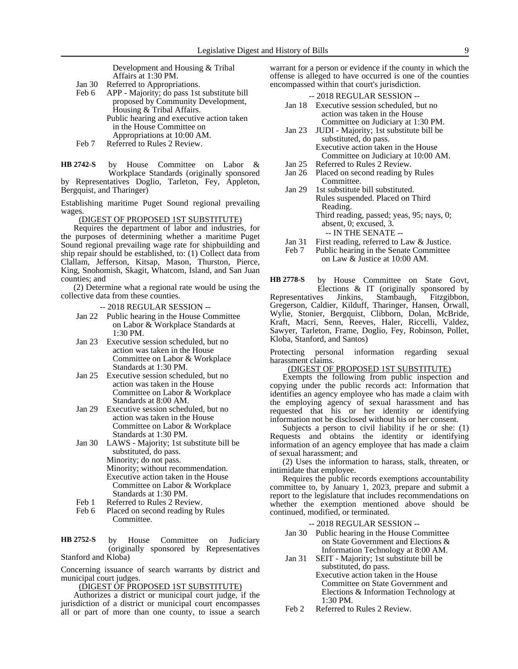Development and Housing & Tribal Affairs at 1:30 PM.

- Jan 30 Referred to Appropriations.
- Feb 6 APP Majority; do pass 1st substitute bill proposed by Community Development, Housing & Tribal Affairs. Public hearing and executive action taken in the House Committee on Appropriations at 10:00 AM.
- Feb 7 Referred to Rules 2 Review.

by House Committee on Labor & Workplace Standards (originally sponsored **HB 2742-S**

by Representatives Doglio, Tarleton, Fey, Appleton, Bergquist, and Tharinger)

Establishing maritime Puget Sound regional prevailing wages.

(DIGEST OF PROPOSED 1ST SUBSTITUTE)

Requires the department of labor and industries, for the purposes of determining whether a maritime Puget Sound regional prevailing wage rate for shipbuilding and ship repair should be established, to: (1) Collect data from Clallam, Jefferson, Kitsap, Mason, Thurston, Pierce, King, Snohomish, Skagit, Whatcom, Island, and San Juan counties; and

(2) Determine what a regional rate would be using the collective data from these counties.

-- 2018 REGULAR SESSION --

- Jan 22 Public hearing in the House Committee on Labor & Workplace Standards at  $1:30 \text{ PM}$
- Jan 23 Executive session scheduled, but no action was taken in the House Committee on Labor & Workplace Standards at 1:30 PM.
- Jan 25 Executive session scheduled, but no action was taken in the House Committee on Labor & Workplace Standards at 8:00 AM.
- Jan 29 Executive session scheduled, but no action was taken in the House Committee on Labor & Workplace Standards at 1:30 PM.
- Jan 30 LAWS Majority; 1st substitute bill be substituted, do pass. Minority; do not pass. Minority; without recommendation. Executive action taken in the House Committee on Labor & Workplace Standards at 1:30 PM.
- Feb 1 Referred to Rules 2 Review.<br>Feb 6 Placed on second reading by
- Placed on second reading by Rules Committee.

by House Committee on Judiciary (originally sponsored by Representatives Stanford and Kloba) **HB 2752-S**

Concerning issuance of search warrants by district and municipal court judges.

(DIGEST OF PROPOSED 1ST SUBSTITUTE)

Authorizes a district or municipal court judge, if the jurisdiction of a district or municipal court encompasses all or part of more than one county, to issue a search warrant for a person or evidence if the county in which the offense is alleged to have occurred is one of the counties encompassed within that court's jurisdiction.

|        | $-2018$ REGULAR SESSION $-$         |
|--------|-------------------------------------|
| Jan 18 | Executive session scheduled, but no |
|        | action was taken in the House       |
|        | Committee on Judiciary at 1:30 PM.  |

- Jan 23 JUDI Majority; 1st substitute bill be substituted, do pass. Executive action taken in the House
	- Committee on Judiciary at 10:00 AM.
- Jan 25 Referred to Rules 2 Review.<br>Jan 26 Placed on second reading by Placed on second reading by Rules **Committee.**
- Jan 29 1st substitute bill substituted. Rules suspended. Placed on Third Reading. Third reading, passed; yeas, 95; nays, 0; absent, 0; excused, 3.
	- -- IN THE SENATE --
- Jan 31 First reading, referred to Law & Justice.<br>Feb 7 Public hearing in the Senate Committee
- Public hearing in the Senate Committee on Law & Justice at 10:00 AM.

by House Committee on State Govt, Elections & IT (originally sponsored by es Jinkins, Stambaugh, Fitzgibbon, Representatives Jinkins, Stambaugh, Fitzgibbon, Gregerson, Caldier, Kilduff, Tharinger, Hansen, Orwall, Wylie, Stonier, Bergquist, Clibborn, Dolan, McBride, Kraft, Macri, Senn, Reeves, Haler, Riccelli, Valdez, Sawyer, Tarleton, Frame, Doglio, Fey, Robinson, Pollet, Kloba, Stanford, and Santos) **HB 2778-S**

Protecting personal information regarding sexual harassment claims.

### (DIGEST OF PROPOSED 1ST SUBSTITUTE)

Exempts the following from public inspection and copying under the public records act: Information that identifies an agency employee who has made a claim with the employing agency of sexual harassment and has requested that his or her identity or identifying information not be disclosed without his or her consent.

Subjects a person to civil liability if he or she: (1) Requests and obtains the identity or identifying information of an agency employee that has made a claim of sexual harassment; and

(2) Uses the information to harass, stalk, threaten, or intimidate that employee.

Requires the public records exemptions accountability committee to, by January 1, 2023, prepare and submit a report to the legislature that includes recommendations on whether the exemption mentioned above should be continued, modified, or terminated.

- Jan 30 Public hearing in the House Committee on State Government and Elections & Information Technology at 8:00 AM.
- Jan 31 SEIT Majority; 1st substitute bill be substituted, do pass. Executive action taken in the House Committee on State Government and Elections & Information Technology at 1:30 PM.
- Feb 2 Referred to Rules 2 Review.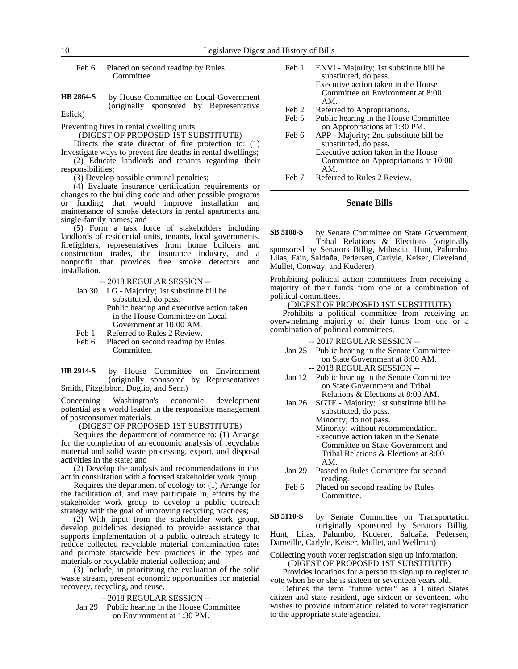Feb 6 Placed on second reading by Rules Committee.

by House Committee on Local Government (originally sponsored by Representative Eslick) **HB 2864-S**

Preventing fires in rental dwelling units.

(DIGEST OF PROPOSED 1ST SUBSTITUTE)

Directs the state director of fire protection to: (1) Investigate ways to prevent fire deaths in rental dwellings;

(2) Educate landlords and tenants regarding their responsibilities;

(3) Develop possible criminal penalties;

(4) Evaluate insurance certification requirements or changes to the building code and other possible programs or funding that would improve installation and maintenance of smoke detectors in rental apartments and single-family homes; and

(5) Form a task force of stakeholders including landlords of residential units, tenants, local governments, firefighters, representatives from home builders and construction trades, the insurance industry, and a nonprofit that provides free smoke detectors and installation.

-- 2018 REGULAR SESSION --

- Jan 30 LG Majority; 1st substitute bill be substituted, do pass. Public hearing and executive action taken in the House Committee on Local Government at 10:00 AM.
- Feb 1 Referred to Rules 2 Review.
- Feb 6 Placed on second reading by Rules Committee.

by House Committee on Environment (originally sponsored by Representatives Smith, Fitzgibbon, Doglio, and Senn) **HB 2914-S**

Concerning Washington's economic development potential as a world leader in the responsible management of postconsumer materials.

(DIGEST OF PROPOSED 1ST SUBSTITUTE)

Requires the department of commerce to: (1) Arrange for the completion of an economic analysis of recyclable material and solid waste processing, export, and disposal activities in the state; and

(2) Develop the analysis and recommendations in this act in consultation with a focused stakeholder work group.

Requires the department of ecology to: (1) Arrange for the facilitation of, and may participate in, efforts by the stakeholder work group to develop a public outreach strategy with the goal of improving recycling practices;

(2) With input from the stakeholder work group, develop guidelines designed to provide assistance that supports implementation of a public outreach strategy to reduce collected recyclable material contamination rates and promote statewide best practices in the types and materials or recyclable material collection; and

(3) Include, in prioritizing the evaluation of the solid waste stream, present economic opportunities for material recovery, recycling, and reuse.

-- 2018 REGULAR SESSION --

Jan 29 Public hearing in the House Committee on Environment at 1:30 PM.

- Feb 1 ENVI Majority; 1st substitute bill be substituted, do pass. Executive action taken in the House Committee on Environment at 8:00 AM.
- Feb 2 Referred to Appropriations.
- Feb 5 Public hearing in the House Committee on Appropriations at 1:30 PM.
- Feb 6 APP Majority; 2nd substitute bill be substituted, do pass. Executive action taken in the House Committee on Appropriations at 10:00 AM.
- Feb 7 Referred to Rules 2 Review.

### **Senate Bills**

by Senate Committee on State Government, Tribal Relations & Elections (originally sponsored by Senators Billig, Miloscia, Hunt, Palumbo, Liias, Fain, Saldaña, Pedersen, Carlyle, Keiser, Cleveland, **SB 5108-S**

Mullet, Conway, and Kuderer) Prohibiting political action committees from receiving a majority of their funds from one or a combination of

political committees.

(DIGEST OF PROPOSED 1ST SUBSTITUTE)

Prohibits a political committee from receiving an overwhelming majority of their funds from one or a combination of political committees.

-- 2017 REGULAR SESSION --

- Jan 25 Public hearing in the Senate Committee on State Government at 8:00 AM. -- 2018 REGULAR SESSION --
- Jan 12 Public hearing in the Senate Committee on State Government and Tribal Relations & Elections at 8:00 AM.
- Jan 26 SGTE Majority; 1st substitute bill be substituted, do pass. Minority; do not pass. Minority; without recommendation. Executive action taken in the Senate Committee on State Government and Tribal Relations & Elections at 8:00 AM.
- Jan 29 Passed to Rules Committee for second reading.
- Feb 6 Placed on second reading by Rules Committee.

by Senate Committee on Transportation (originally sponsored by Senators Billig, Hunt, Liias, Palumbo, Kuderer, Saldaña, Pedersen, **SB 5110-S**

Darneille, Carlyle, Keiser, Mullet, and Wellman)

#### Collecting youth voter registration sign up information. (DIGEST OF PROPOSED 1ST SUBSTITUTE)

Provides locations for a person to sign up to register to vote when he or she is sixteen or seventeen years old.

Defines the term "future voter" as a United States citizen and state resident, age sixteen or seventeen, who wishes to provide information related to voter registration to the appropriate state agencies.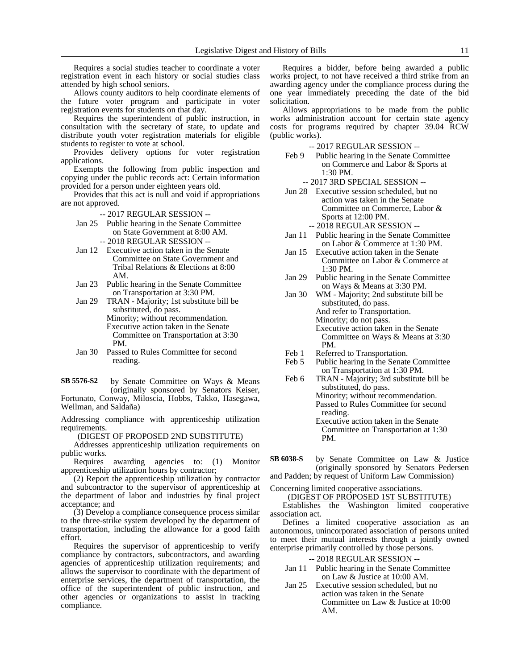Requires a social studies teacher to coordinate a voter registration event in each history or social studies class attended by high school seniors.

Allows county auditors to help coordinate elements of the future voter program and participate in voter registration events for students on that day.

Requires the superintendent of public instruction, in consultation with the secretary of state, to update and distribute youth voter registration materials for eligible students to register to vote at school.

Provides delivery options for voter registration applications.

Exempts the following from public inspection and copying under the public records act: Certain information provided for a person under eighteen years old.

Provides that this act is null and void if appropriations are not approved.

-- 2017 REGULAR SESSION --

- Jan 25 Public hearing in the Senate Committee on State Government at 8:00 AM. -- 2018 REGULAR SESSION --
- Jan 12 Executive action taken in the Senate Committee on State Government and Tribal Relations & Elections at 8:00 AM.
- Jan 23 Public hearing in the Senate Committee on Transportation at 3:30 PM.
- Jan 29 TRAN Majority; 1st substitute bill be substituted, do pass. Minority; without recommendation. Executive action taken in the Senate Committee on Transportation at 3:30 PM.
- Jan 30 Passed to Rules Committee for second reading.

by Senate Committee on Ways & Means (originally sponsored by Senators Keiser, Fortunato, Conway, Miloscia, Hobbs, Takko, Hasegawa, Wellman, and Saldaña) **SB 5576-S2**

Addressing compliance with apprenticeship utilization requirements.

(DIGEST OF PROPOSED 2ND SUBSTITUTE)

Addresses apprenticeship utilization requirements on public works.

Requires awarding agencies to: (1) Monitor apprenticeship utilization hours by contractor;

(2) Report the apprenticeship utilization by contractor and subcontractor to the supervisor of apprenticeship at the department of labor and industries by final project acceptance; and

(3) Develop a compliance consequence process similar to the three-strike system developed by the department of transportation, including the allowance for a good faith effort.

Requires the supervisor of apprenticeship to verify compliance by contractors, subcontractors, and awarding agencies of apprenticeship utilization requirements; and allows the supervisor to coordinate with the department of enterprise services, the department of transportation, the office of the superintendent of public instruction, and other agencies or organizations to assist in tracking compliance.

Requires a bidder, before being awarded a public works project, to not have received a third strike from an awarding agency under the compliance process during the one year immediately preceding the date of the bid solicitation.

Allows appropriations to be made from the public works administration account for certain state agency costs for programs required by chapter 39.04 RCW (public works).

-- 2017 REGULAR SESSION --

- Feb 9 Public hearing in the Senate Committee on Commerce and Labor & Sports at 1:30 PM.
	- -- 2017 3RD SPECIAL SESSION --
- Jun 28 Executive session scheduled, but no action was taken in the Senate Committee on Commerce, Labor & Sports at 12:00 PM. -- 2018 REGULAR SESSION --

- Jan 11 Public hearing in the Senate Committee on Labor & Commerce at 1:30 PM.
- Jan 15 Executive action taken in the Senate Committee on Labor & Commerce at 1:30 PM.
- Jan 29 Public hearing in the Senate Committee on Ways & Means at 3:30 PM.
- Jan 30 WM Majority; 2nd substitute bill be substituted, do pass. And refer to Transportation. Minority; do not pass. Executive action taken in the Senate Committee on Ways & Means at 3:30 PM.
- Feb 1 Referred to Transportation.<br>Feb 5 Public hearing in the Senate
- Public hearing in the Senate Committee on Transportation at 1:30 PM.
- Feb 6 TRAN Majority; 3rd substitute bill be substituted, do pass. Minority; without recommendation. Passed to Rules Committee for second reading. Executive action taken in the Senate Committee on Transportation at 1:30
- by Senate Committee on Law & Justice (originally sponsored by Senators Pedersen **SB 6038-S**

and Padden; by request of Uniform Law Commission)

Concerning limited cooperative associations.

PM.

(DIGEST OF PROPOSED 1ST SUBSTITUTE) Establishes the Washington limited cooperative association act.

Defines a limited cooperative association as an autonomous, unincorporated association of persons united to meet their mutual interests through a jointly owned enterprise primarily controlled by those persons.

- Jan 11 Public hearing in the Senate Committee on Law & Justice at 10:00 AM.
- Jan 25 Executive session scheduled, but no action was taken in the Senate Committee on Law & Justice at 10:00 AM.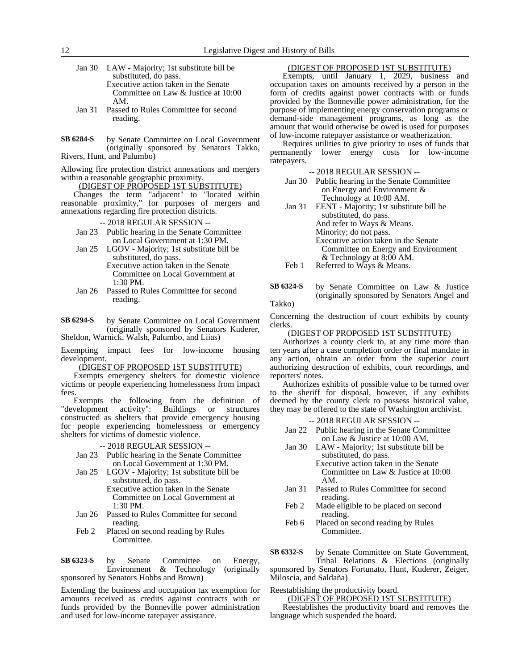Jan 30 LAW - Majority; 1st substitute bill be substituted, do pass. Executive action taken in the Senate Committee on Law & Justice at 10:00 AM.

- Jan 31 Passed to Rules Committee for second reading.
- by Senate Committee on Local Government (originally sponsored by Senators Takko, Rivers, Hunt, and Palumbo) **SB 6284-S**

Allowing fire protection district annexations and mergers within a reasonable geographic proximity.

### (DIGEST OF PROPOSED 1ST SUBSTITUTE)

Changes the term "adjacent" to "located within reasonable proximity," for purposes of mergers and annexations regarding fire protection districts.

-- 2018 REGULAR SESSION --

- Jan 23 Public hearing in the Senate Committee on Local Government at 1:30 PM.
- Jan 25 LGOV Majority; 1st substitute bill be substituted, do pass.
	- Executive action taken in the Senate Committee on Local Government at 1:30 PM.
- Jan 26 Passed to Rules Committee for second reading.

by Senate Committee on Local Government (originally sponsored by Senators Kuderer, Sheldon, Warnick, Walsh, Palumbo, and Liias) **SB 6294-S**

Exempting impact fees for low-income housing development.

#### (DIGEST OF PROPOSED 1ST SUBSTITUTE)

Exempts emergency shelters for domestic violence victims or people experiencing homelessness from impact fees.

Exempts the following from the definition of "development activity": Buildings or structures constructed as shelters that provide emergency housing for people experiencing homelessness or emergency shelters for victims of domestic violence.

#### -- 2018 REGULAR SESSION --

- Jan 23 Public hearing in the Senate Committee on Local Government at 1:30 PM.
- Jan 25 LGOV Majority; 1st substitute bill be substituted, do pass. Executive action taken in the Senate Committee on Local Government at
- 1:30 PM. Jan 26 Passed to Rules Committee for second
- reading.
- Feb 2 Placed on second reading by Rules Committee.

by Senate Committee on Energy, Environment & Technology (originally sponsored by Senators Hobbs and Brown) **SB 6323-S**

Extending the business and occupation tax exemption for amounts received as credits against contracts with or funds provided by the Bonneville power administration and used for low-income ratepayer assistance.

# (DIGEST OF PROPOSED 1ST SUBSTITUTE)

Exempts, until January 1, 2029, business and occupation taxes on amounts received by a person in the form of credits against power contracts with or funds provided by the Bonneville power administration, for the purpose of implementing energy conservation programs or demand-side management programs, as long as the amount that would otherwise be owed is used for purposes of low-income ratepayer assistance or weatherization.

Requires utilities to give priority to uses of funds that permanently lower energy costs for low-income ratepayers.

-- 2018 REGULAR SESSION --

| Jan 30 Public hearing in the Senate Committee |
|-----------------------------------------------|
| on Energy and Environment $\&$                |
| Technology at 10:00 AM.                       |

- Jan 31 EENT Majority; 1st substitute bill be substituted, do pass. And refer to Ways & Means. Minority; do not pass. Executive action taken in the Senate Committee on Energy and Environment & Technology at 8:00 AM. Feb 1 Referred to Ways & Means.
- by Senate Committee on Law & Justice (originally sponsored by Senators Angel and **SB 6324-S**

# Takko)

Concerning the destruction of court exhibits by county clerks.

#### (DIGEST OF PROPOSED 1ST SUBSTITUTE)

Authorizes a county clerk to, at any time more than ten years after a case completion order or final mandate in any action, obtain an order from the superior court authorizing destruction of exhibits, court recordings, and reporters' notes.

Authorizes exhibits of possible value to be turned over to the sheriff for disposal, however, if any exhibits deemed by the county clerk to possess historical value, they may be offered to the state of Washington archivist.

-- 2018 REGULAR SESSION --

- Jan 22 Public hearing in the Senate Committee on Law & Justice at 10:00 AM.
- Jan 30 LAW Majority; 1st substitute bill be substituted, do pass. Executive action taken in the Senate Committee on Law & Justice at 10:00 AM.
- Jan 31 Passed to Rules Committee for second reading.
- Feb 2 Made eligible to be placed on second reading.
- Feb 6 Placed on second reading by Rules Committee.

by Senate Committee on State Government, Tribal Relations & Elections (originally **SB 6332-S**

sponsored by Senators Fortunato, Hunt, Kuderer, Zeiger, Miloscia, and Saldaña)

Reestablishing the productivity board.

(DIGEST OF PROPOSED 1ST SUBSTITUTE)

Reestablishes the productivity board and removes the language which suspended the board.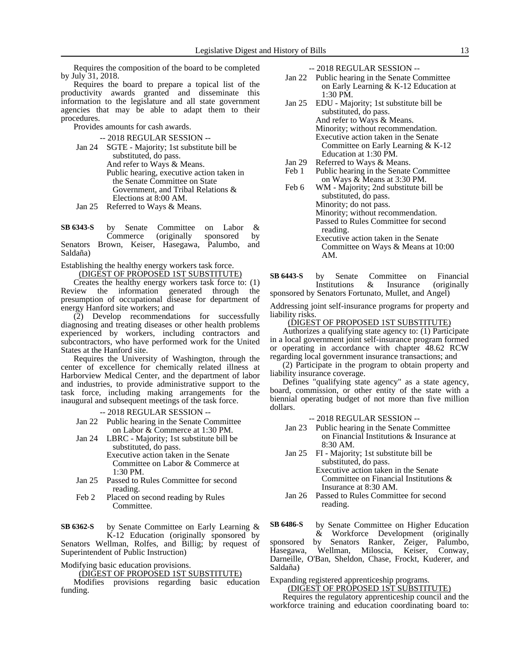Requires the composition of the board to be completed by July 31, 2018.

Requires the board to prepare a topical list of the productivity awards granted and disseminate this information to the legislature and all state government agencies that may be able to adapt them to their procedures.

Provides amounts for cash awards.

-- 2018 REGULAR SESSION --

- Jan 24 SGTE Majority; 1st substitute bill be substituted, do pass. And refer to Ways & Means. Public hearing, executive action taken in the Senate Committee on State Government, and Tribal Relations & Elections at 8:00 AM.
- Jan 25 Referred to Ways & Means.

by Senate Committee on Labor &<br>Commerce (originally sponsored by Commerce (originally sponsored by Senators Brown, Keiser, Hasegawa, Palumbo, and Saldaña) **SB 6343-S**

Establishing the healthy energy workers task force.

(DIGEST OF PROPOSED 1ST SUBSTITUTE) Creates the healthy energy workers task force to: (1) Review the information generated through the presumption of occupational disease for department of energy Hanford site workers; and

(2) Develop recommendations for successfully diagnosing and treating diseases or other health problems experienced by workers, including contractors and subcontractors, who have performed work for the United States at the Hanford site.

Requires the University of Washington, through the center of excellence for chemically related illness at Harborview Medical Center, and the department of labor and industries, to provide administrative support to the task force, including making arrangements for the inaugural and subsequent meetings of the task force.

-- 2018 REGULAR SESSION --

Jan 22 Public hearing in the Senate Committee on Labor & Commerce at 1:30 PM.

Jan 24 LBRC - Majority; 1st substitute bill be substituted, do pass. Executive action taken in the Senate

Committee on Labor & Commerce at 1:30 PM.

- Jan 25 Passed to Rules Committee for second reading.
- Feb 2 Placed on second reading by Rules Committee.

by Senate Committee on Early Learning & **SB 6362-S**

K-12 Education (originally sponsored by Senators Wellman, Rolfes, and Billig; by request of Superintendent of Public Instruction)

Modifying basic education provisions.

(DIGEST OF PROPOSED 1ST SUBSTITUTE)

Modifies provisions regarding basic education funding.

-- 2018 REGULAR SESSION --

- Jan 22 Public hearing in the Senate Committee on Early Learning & K-12 Education at 1:30 PM.
- Jan 25 EDU Majority; 1st substitute bill be substituted, do pass. And refer to Ways & Means. Minority; without recommendation. Executive action taken in the Senate Committee on Early Learning & K-12 Education at 1:30 PM.
- Jan 29 Referred to Ways & Means.<br>Feb 1 Public hearing in the Senate Public hearing in the Senate Committee
- on Ways & Means at 3:30 PM. Feb 6 WM - Majority; 2nd substitute bill be substituted, do pass.
	- Minority; do not pass. Minority; without recommendation. Passed to Rules Committee for second reading. Executive action taken in the Senate Committee on Ways & Means at 10:00

by Senate Committee on Financial Institutions & Insurance (originally sponsored by Senators Fortunato, Mullet, and Angel) **SB 6443-S**

AM.

Addressing joint self-insurance programs for property and liability risks.

#### (DIGEST OF PROPOSED 1ST SUBSTITUTE)

Authorizes a qualifying state agency to: (1) Participate in a local government joint self-insurance program formed or operating in accordance with chapter 48.62 RCW regarding local government insurance transactions; and

(2) Participate in the program to obtain property and liability insurance coverage.

Defines "qualifying state agency" as a state agency, board, commission, or other entity of the state with a biennial operating budget of not more than five million dollars.

-- 2018 REGULAR SESSION --

- Jan 23 Public hearing in the Senate Committee on Financial Institutions & Insurance at 8:30 AM.
- Jan 25 FI Majority; 1st substitute bill be substituted, do pass. Executive action taken in the Senate Committee on Financial Institutions & Insurance at 8:30 AM.
- Jan 26 Passed to Rules Committee for second reading.

by Senate Committee on Higher Education **SB 6486-S**

& Workforce Development (originally sponsored by Senators Ranker, Zeiger, Palumbo, Hasegawa, Wellman, Miloscia, Keiser, Conway, Darneille, O'Ban, Sheldon, Chase, Frockt, Kuderer, and Saldaña)

Expanding registered apprenticeship programs.

(DIGEST OF PROPOSED 1ST SUBSTITUTE)

Requires the regulatory apprenticeship council and the workforce training and education coordinating board to: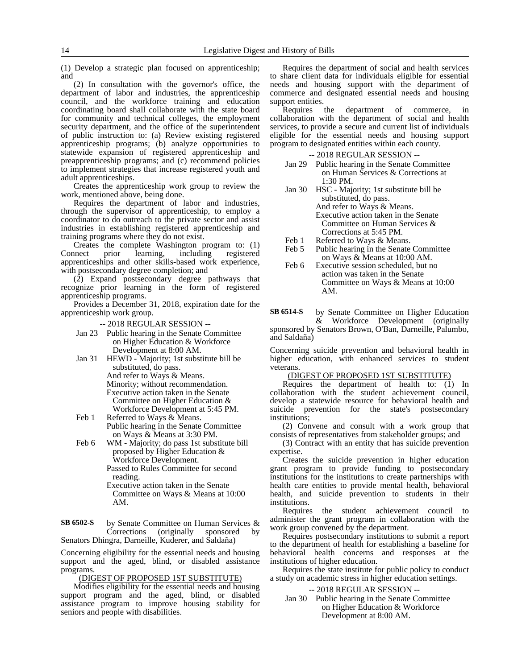(1) Develop a strategic plan focused on apprenticeship; and

(2) In consultation with the governor's office, the department of labor and industries, the apprenticeship council, and the workforce training and education coordinating board shall collaborate with the state board for community and technical colleges, the employment security department, and the office of the superintendent of public instruction to: (a) Review existing registered apprenticeship programs; (b) analyze opportunities to statewide expansion of registered apprenticeship and preapprenticeship programs; and (c) recommend policies to implement strategies that increase registered youth and adult apprenticeships.

Creates the apprenticeship work group to review the work, mentioned above, being done.

Requires the department of labor and industries, through the supervisor of apprenticeship, to employ a coordinator to do outreach to the private sector and assist industries in establishing registered apprenticeship and training programs where they do not exist.

Creates the complete Washington program to: (1) Connect prior learning, including registered apprenticeships and other skills-based work experience, with postsecondary degree completion; and

(2) Expand postsecondary degree pathways that recognize prior learning in the form of registered apprenticeship programs.

Provides a December 31, 2018, expiration date for the apprenticeship work group.

-- 2018 REGULAR SESSION --

- Jan 23 Public hearing in the Senate Committee on Higher Education & Workforce Development at 8:00 AM.
- Jan 31 HEWD Majority; 1st substitute bill be substituted, do pass.

And refer to Ways & Means.

Minority; without recommendation.

- Executive action taken in the Senate Committee on Higher Education & Workforce Development at 5:45 PM.
- Feb 1 Referred to Ways & Means. Public hearing in the Senate Committee on Ways & Means at 3:30 PM.
- Feb 6 WM Majority; do pass 1st substitute bill proposed by Higher Education & Workforce Development.

Passed to Rules Committee for second reading.

Executive action taken in the Senate Committee on Ways & Means at 10:00 AM.

by Senate Committee on Human Services & Corrections (originally sponsored by Senators Dhingra, Darneille, Kuderer, and Saldaña) **SB 6502-S**

Concerning eligibility for the essential needs and housing support and the aged, blind, or disabled assistance programs.

(DIGEST OF PROPOSED 1ST SUBSTITUTE)

Modifies eligibility for the essential needs and housing support program and the aged, blind, or disabled assistance program to improve housing stability for seniors and people with disabilities.

Requires the department of social and health services to share client data for individuals eligible for essential needs and housing support with the department of commerce and designated essential needs and housing support entities.

Requires the department of commerce, in collaboration with the department of social and health services, to provide a secure and current list of individuals eligible for the essential needs and housing support program to designated entities within each county.

-- 2018 REGULAR SESSION --

- Jan 29 Public hearing in the Senate Committee on Human Services & Corrections at  $1:30$  PM.
- Jan 30 HSC Majority; 1st substitute bill be substituted, do pass. And refer to Ways & Means. Executive action taken in the Senate Committee on Human Services & Corrections at 5:45 PM.
- Feb 1 Referred to Ways & Means.
- Feb 5 Public hearing in the Senate Committee on Ways & Means at 10:00 AM.
- Feb 6 Executive session scheduled, but no action was taken in the Senate Committee on Ways & Means at 10:00 AM.

by Senate Committee on Higher Education & Workforce Development (originally sponsored by Senators Brown, O'Ban, Darneille, Palumbo, **SB 6514-S**

and Saldaña)

Concerning suicide prevention and behavioral health in higher education, with enhanced services to student veterans.

# (DIGEST OF PROPOSED 1ST SUBSTITUTE)

Requires the department of health to: (1) In collaboration with the student achievement council, develop a statewide resource for behavioral health and suicide prevention for the state's postsecondary institutions;

(2) Convene and consult with a work group that consists of representatives from stakeholder groups; and

(3) Contract with an entity that has suicide prevention expertise.

Creates the suicide prevention in higher education grant program to provide funding to postsecondary institutions for the institutions to create partnerships with health care entities to provide mental health, behavioral health, and suicide prevention to students in their institutions.

Requires the student achievement council to administer the grant program in collaboration with the work group convened by the department.

Requires postsecondary institutions to submit a report to the department of health for establishing a baseline for behavioral health concerns and responses at the institutions of higher education.

Requires the state institute for public policy to conduct a study on academic stress in higher education settings.

-- 2018 REGULAR SESSION --

Jan 30 Public hearing in the Senate Committee on Higher Education & Workforce Development at 8:00 AM.